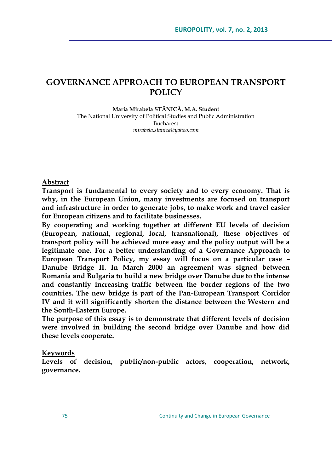# **GOVERNANCE APPROACH TO EUROPEAN TRANSPORT POLICY**

#### **Maria Mirabela STĂNICĂ, M.A. Student**

The National University of Political Studies and Public Administration Bucharest *[mirabela.stanica@yahoo.com](mailto:mirabela.stanica@yahoo.com)*

**Abstract**

**Transport is fundamental to every society and to every economy. That is why, in the European Union, many investments are focused on transport and infrastructure in order to generate jobs, to make work and travel easier for European citizens and to facilitate businesses.** 

**By cooperating and working together at different EU levels of decision (European, national, regional, local, transnational), these objectives of transport policy will be achieved more easy and the policy output will be a legitimate one. For a better understanding of a Governance Approach to European Transport Policy, my essay will focus on a particular case – Danube Bridge II. In March 2000 an agreement was signed between Romania and Bulgaria to build a new bridge over Danube due to the intense and constantly increasing traffic between the border regions of the two countries. The new bridge is part of the Pan-European Transport Corridor IV and it will significantly shorten the distance between the Western and the South-Eastern Europe.**

**The purpose of this essay is to demonstrate that different levels of decision were involved in building the second bridge over Danube and how did these levels cooperate.**

#### **Keywords**

**Levels of decision, public/non-public actors, cooperation, network, governance.**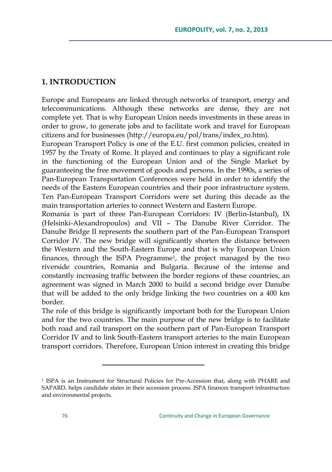## **1. INTRODUCTION**

Europe and Europeans are linked through networks of transport, energy and telecommunications. Although these networks are dense, they are not complete yet. That is why European Union needs investments in these areas in order to grow, to generate jobs and to facilitate work and travel for European citizens and for businesses (http://europa.eu/pol/trans/index\_ro.htm).

European Transport Policy is one of the E.U. first common policies, created in 1957 by the Treaty of Rome. It played and continues to play a significant role in the functioning of the European Union and of the Single Market by guaranteeing the free movement of goods and persons. In the 1990s, a series of Pan-European Transportation Conferences were held in order to identify the needs of the Eastern European countries and their poor infrastructure system. Ten Pan-European Transport Corridors were set during this decade as the main transportation arteries to connect Western and Eastern Europe.

Romania is part of three Pan-European Corridors: IV (Berlin-Istanbul), IX (Helsinki-Alexandropoulos) and VII – The Danube River Corridor. The Danube Bridge II represents the southern part of the Pan-European Transport Corridor IV. The new bridge will significantly shorten the distance between the Western and the South-Eastern Europe and that is why European Union finances, through the ISPA Programme<sup>1</sup>, the project managed by the two riverside countries, Romania and Bulgaria. Because of the intense and constantly increasing traffic between the border regions of these countries, an agreement was signed in March 2000 to build a second bridge over Danube that will be added to the only bridge linking the two countries on a 400 km border.

The role of this bridge is significantly important both for the European Union and for the two countries. The main purpose of the new bridge is to facilitate both road and rail transport on the southern part of Pan-European Transport Corridor IV and to link South-Eastern transport arteries to the main European transport corridors. Therefore, European Union interest in creating this bridge

<sup>&</sup>lt;sup>1</sup> ISPA is an Instrument for Structural Policies for Pre-Accession that, along with PHARE and SAPARD, helps candidate states in their accession process. ISPA finances transport infrastructure and environmental projects.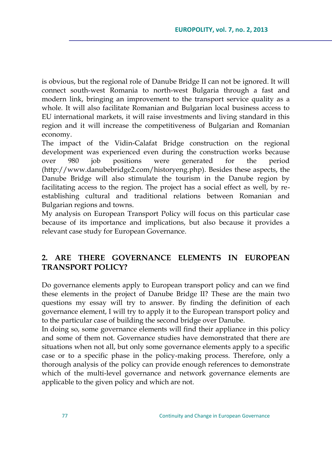is obvious, but the regional role of Danube Bridge II can not be ignored. It will connect south-west Romania to north-west Bulgaria through a fast and modern link, bringing an improvement to the transport service quality as a whole. It will also facilitate Romanian and Bulgarian local business access to EU international markets, it will raise investments and living standard in this region and it will increase the competitiveness of Bulgarian and Romanian economy.

The impact of the Vidin-Calafat Bridge construction on the regional development was experienced even during the construction works because over 980 job positions were generated for the period [\(http://www.danubebridge2.com/historyeng.php\)](http://www.danubebridge2.com/historyeng.php). Besides these aspects, the Danube Bridge will also stimulate the tourism in the Danube region by facilitating access to the region. The project has a social effect as well, by reestablishing cultural and traditional relations between Romanian and Bulgarian regions and towns.

My analysis on European Transport Policy will focus on this particular case because of its importance and implications, but also because it provides a relevant case study for European Governance.

# **2. ARE THERE GOVERNANCE ELEMENTS IN EUROPEAN TRANSPORT POLICY?**

Do governance elements apply to European transport policy and can we find these elements in the project of Danube Bridge II? These are the main two questions my essay will try to answer. By finding the definition of each governance element, I will try to apply it to the European transport policy and to the particular case of building the second bridge over Danube.

In doing so, some governance elements will find their appliance in this policy and some of them not. Governance studies have demonstrated that there are situations when not all, but only some governance elements apply to a specific case or to a specific phase in the policy-making process. Therefore, only a thorough analysis of the policy can provide enough references to demonstrate which of the multi-level governance and network governance elements are applicable to the given policy and which are not.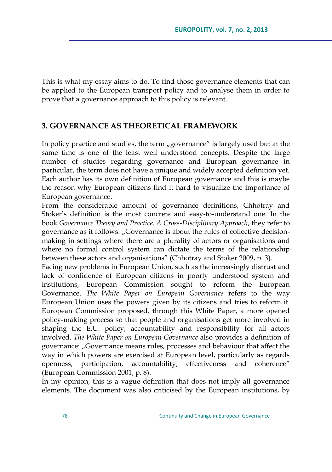This is what my essay aims to do. To find those governance elements that can be applied to the European transport policy and to analyse them in order to prove that a governance approach to this policy is relevant.

# **3. GOVERNANCE AS THEORETICAL FRAMEWORK**

In policy practice and studies, the term  $\mu$ governance" is largely used but at the same time is one of the least well understood concepts. Despite the large number of studies regarding governance and European governance in particular, the term does not have a unique and widely accepted definition yet. Each author has its own definition of European governance and this is maybe the reason why European citizens find it hard to visualize the importance of European governance.

From the considerable amount of governance definitions, Chhotray and Stoker"s definition is the most concrete and easy-to-understand one. In the book *Governance Theory and Practice. A Cross-Disciplinary Approach*, they refer to governance as it follows: "Governance is about the rules of collective decisionmaking in settings where there are a plurality of actors or organisations and where no formal control system can dictate the terms of the relationship between these actors and organisations" (Chhotray and Stoker 2009, p. 3).

Facing new problems in European Union, such as the increasingly distrust and lack of confidence of European citizens in poorly understood system and institutions, European Commission sought to reform the European Governance. *The White Paper on European Governance* refers to the way European Union uses the powers given by its citizens and tries to reform it. European Commission proposed, through this White Paper, a more opened policy-making process so that people and organisations get more involved in shaping the E.U. policy, accountability and responsibility for all actors involved. *The White Paper on European Governance* also provides a definition of governance: "Governance means rules, processes and behaviour that affect the way in which powers are exercised at European level, particularly as regards openness, participation, accountability, effectiveness and coherence" (European Commission 2001, p. 8).

In my opinion, this is a vague definition that does not imply all governance elements. The document was also criticised by the European institutions, by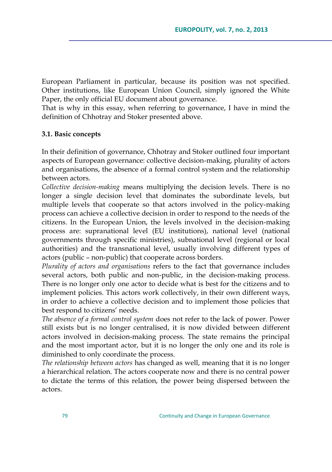European Parliament in particular, because its position was not specified. Other institutions, like European Union Council, simply ignored the White Paper, the only official EU document about governance.

That is why in this essay, when referring to governance, I have in mind the definition of Chhotray and Stoker presented above.

#### **3.1. Basic concepts**

In their definition of governance, Chhotray and Stoker outlined four important aspects of European governance: collective decision-making, plurality of actors and organisations, the absence of a formal control system and the relationship between actors.

*Collective decision-making* means multiplying the decision levels. There is no longer a single decision level that dominates the subordinate levels, but multiple levels that cooperate so that actors involved in the policy-making process can achieve a collective decision in order to respond to the needs of the citizens. In the European Union, the levels involved in the decision-making process are: supranational level (EU institutions), national level (national governments through specific ministries), subnational level (regional or local authorities) and the transnational level, usually involving different types of actors (public – non-public) that cooperate across borders.

*Plurality of actors and organisations* refers to the fact that governance includes several actors, both public and non-public, in the decision-making process. There is no longer only one actor to decide what is best for the citizens and to implement policies. This actors work collectively, in their own different ways, in order to achieve a collective decision and to implement those policies that best respond to citizens' needs.

*The absence of a formal control system* does not refer to the lack of power. Power still exists but is no longer centralised, it is now divided between different actors involved in decision-making process. The state remains the principal and the most important actor, but it is no longer the only one and its role is diminished to only coordinate the process.

*The relationship between actors* has changed as well, meaning that it is no longer a hierarchical relation. The actors cooperate now and there is no central power to dictate the terms of this relation, the power being dispersed between the actors.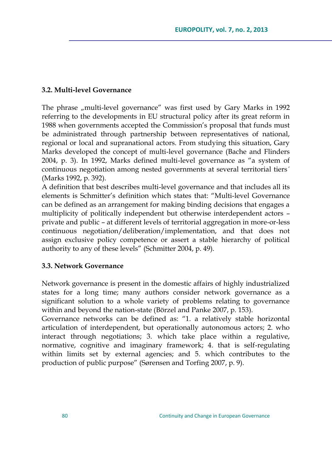### **3.2. Multi-level Governance**

The phrase "multi-level governance" was first used by Gary Marks in 1992 referring to the developments in EU structural policy after its great reform in 1988 when governments accepted the Commission"s proposal that funds must be administrated through partnership between representatives of national, regional or local and supranational actors. From studying this situation, Gary Marks developed the concept of multi-level governance (Bache and Flinders 2004, p. 3). In 1992, Marks defined multi-level governance as "a system of continuous negotiation among nested governments at several territorial tiers´ (Marks 1992, p. 392).

A definition that best describes multi-level governance and that includes all its elements is Schmitter"s definition which states that: "Multi-level Governance can be defined as an arrangement for making binding decisions that engages a multiplicity of politically independent but otherwise interdependent actors – private and public – at different levels of territorial aggregation in more-or-less continuous negotiation/deliberation/implementation, and that does not assign exclusive policy competence or assert a stable hierarchy of political authority to any of these levels" (Schmitter 2004, p. 49).

#### **3.3. Network Governance**

Network governance is present in the domestic affairs of highly industrialized states for a long time; many authors consider network governance as a significant solution to a whole variety of problems relating to governance within and beyond the nation-state (Börzel and Panke 2007, p. 153).

Governance networks can be defined as: "1. a relatively stable horizontal articulation of interdependent, but operationally autonomous actors; 2. who interact through negotiations; 3. which take place within a regulative, normative, cognitive and imaginary framework; 4. that is self-regulating within limits set by external agencies; and 5. which contributes to the production of public purpose" (Sørensen and Torfing 2007, p. 9).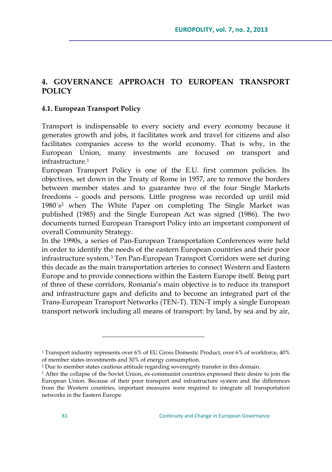# **4. GOVERNANCE APPROACH TO EUROPEAN TRANSPORT POLICY**

### **4.1. European Transport Policy**

Transport is indispensable to every society and every economy because it generates growth and jobs, it facilitates work and travel for citizens and also facilitates companies access to the world economy. That is why, in the European Union, many investments are focused on transport and infrastructure.<sup>1</sup>

European Transport Policy is one of the E.U. first common policies. Its objectives, set down in the Treaty of Rome in 1957, are to remove the borders between member states and to guarantee two of the four Single Markets freedoms – goods and persons. Little progress was recorded up until mid 1980´s <sup>2</sup> when The White Paper on completing The Single Market was published (1985) and the Single European Act was signed (1986). The two documents turned European Transport Policy into an important component of overall Community Strategy.

In the 1990s, a series of Pan-European Transportation Conferences were held in order to identify the needs of the eastern European countries and their poor infrastructure system.<sup>3</sup> Ten Pan-European Transport Corridors were set during this decade as the main transportation arteries to connect Western and Eastern Europe and to provide connections within the Eastern Europe itself. Being part of three of these corridors, Romania"s main objective is to reduce its transport and infrastructure gaps and deficits and to become an integrated part of the Trans-European Transport Networks (TEN-T). TEN-T imply a single European transport network including all means of transport: by land, by sea and by air,

<sup>1</sup> Transport industry represents over 6% of EU Gross Domestic Product, over 6% of workforce, 40% of member states investments and 30% of energy consumption.

<sup>2</sup> Due to member states cautious attitude regarding sovereignty transfer in this domain.

<sup>&</sup>lt;sup>3</sup> After the collapse of the Soviet Union, ex-communist countries expressed their desire to join the European Union. Because of their poor transport and infrastructure system and the differences from the Western countries, important measures were required to integrate all transportation networks in the Eastern Europe.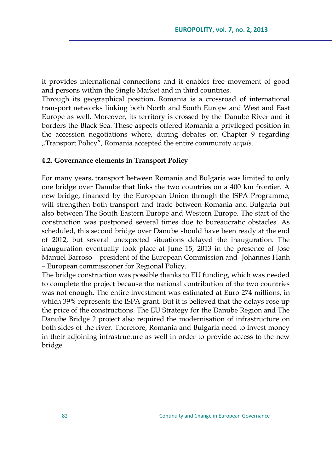it provides international connections and it enables free movement of good and persons within the Single Market and in third countries.

Through its geographical position, Romania is a crossroad of international transport networks linking both North and South Europe and West and East Europe as well. Moreover, its territory is crossed by the Danube River and it borders the Black Sea. These aspects offered Romania a privileged position in the accession negotiations where, during debates on Chapter 9 regarding "Transport Policy", Romania accepted the entire community *acquis*.

#### **4.2. Governance elements in Transport Policy**

For many years, transport between Romania and Bulgaria was limited to only one bridge over Danube that links the two countries on a 400 km frontier. A new bridge, financed by the European Union through the ISPA Programme, will strengthen both transport and trade between Romania and Bulgaria but also between The South-Eastern Europe and Western Europe. The start of the construction was postponed several times due to bureaucratic obstacles. As scheduled, this second bridge over Danube should have been ready at the end of 2012, but several unexpected situations delayed the inauguration. The inauguration eventually took place at June 15, 2013 in the presence of Jose Manuel Barroso – president of the European Commission and Johannes Hanh – European commissioner for Regional Policy.

The bridge construction was possible thanks to EU funding, which was needed to complete the project because the national contribution of the two countries was not enough. The entire investment was estimated at Euro 274 millions, in which 39% represents the ISPA grant. But it is believed that the delays rose up the price of the constructions. The EU Strategy for the Danube Region and The Danube Bridge 2 project also required the modernisation of infrastructure on both sides of the river. Therefore, Romania and Bulgaria need to invest money in their adjoining infrastructure as well in order to provide access to the new bridge.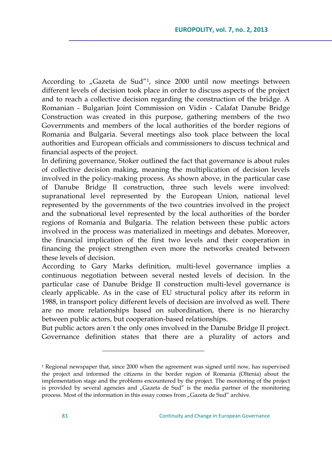According to "Gazeta de Sud″<sup>1</sup>, since 2000 until now meetings between different levels of decision took place in order to discuss aspects of the project and to reach a collective decision regarding the construction of the bridge. A Romanian - Bulgarian Joint Commission on Vidin - Calafat Danube Bridge Construction was created in this purpose, gathering members of the two Governments and members of the local authorities of the border regions of Romania and Bulgaria. Several meetings also took place between the local authorities and European officials and commissioners to discuss technical and financial aspects of the project.

In defining governance, Stoker outlined the fact that governance is about rules of collective decision making, meaning the multiplication of decision levels involved in the policy-making process. As shown above, in the particular case of Danube Bridge II construction, three such levels were involved: supranational level represented by the European Union, national level represented by the governments of the two countries involved in the project and the subnational level represented by the local authorities of the border regions of Romania and Bulgaria. The relation between these public actors involved in the process was materialized in meetings and debates. Moreover, the financial implication of the first two levels and their cooperation in financing the project strengthen even more the networks created between these levels of decision.

According to Gary Marks definition, multi-level governance implies a continuous negotiation between several nested levels of decision. In the particular case of Danube Bridge II construction multi-level governance is clearly applicable. As in the case of EU structural policy after its reform in 1988, in transport policy different levels of decision are involved as well. There are no more relationships based on subordination, there is no hierarchy between public actors, but cooperation-based relationships.

But public actors aren´t the only ones involved in the Danube Bridge II project. Governance definition states that there are a plurality of actors and

<sup>1</sup> Regional newspaper that, since 2000 when the agreement was signed until now, has supervised the project and informed the citizens in the border region of Romania (Oltenia) about the implementation stage and the problems encountered by the project. The monitoring of the project is provided by several agencies and "Gazeta de Sud" is the media partner of the monitoring process. Most of the information in this essay comes from "Gazeta de Sud" archive.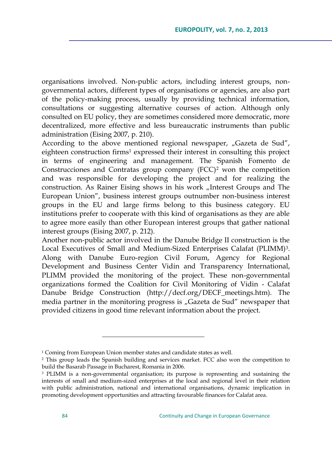organisations involved. Non-public actors, including interest groups, nongovernmental actors, different types of organisations or agencies, are also part of the policy-making process, usually by providing technical information, consultations or suggesting alternative courses of action. Although only consulted on EU policy, they are sometimes considered more democratic, more decentralized, more effective and less bureaucratic instruments than public administration (Eising 2007, p. 210).

According to the above mentioned regional newspaper, "Gazeta de Sud", eighteen construction firms<sup>1</sup> expressed their interest in consulting this project in terms of engineering and management. The Spanish Fomento de Construcciones and Contratas group company (FCC)<sup>2</sup> won the competition and was responsible for developing the project and for realizing the construction. As Rainer Eising shows in his work "Interest Groups and The European Union", business interest groups outnumber non-business interest groups in the EU and large firms belong to this business category. EU institutions prefer to cooperate with this kind of organisations as they are able to agree more easily than other European interest groups that gather national interest groups (Eising 2007, p. 212).

Another non-public actor involved in the Danube Bridge II construction is the Local Executives of Small and Medium-Sized Enterprises Calafat (PLIMM)<sup>3</sup>. Along with Danube Euro-region Civil Forum, Agency for Regional Development and Business Center Vidin and Transparency International, PLIMM provided the monitoring of the project. These non-governmental organizations formed the Coalition for Civil Monitoring of Vidin - Calafat Danube Bridge Construction [\(http://decf.org/DECF\\_meetings.htm\)](http://decf.org/DECF_meetings.htm). The media partner in the monitoring progress is "Gazeta de Sud" newspaper that provided citizens in good time relevant information about the project.

<sup>&</sup>lt;sup>1</sup> Coming from European Union member states and candidate states as well.

<sup>2</sup> This group leads the Spanish building and services market. FCC also won the competition to build the Basarab Passage in Bucharest, Romania in 2006.

<sup>&</sup>lt;sup>3</sup> PLIMM is a non-governmental organisation; its purpose is representing and sustaining the interests of small and medium-sized enterprises at the local and regional level in their relation with public administration, national and international organisations, dynamic implication in promoting development opportunities and attracting favourable finances for Calafat area.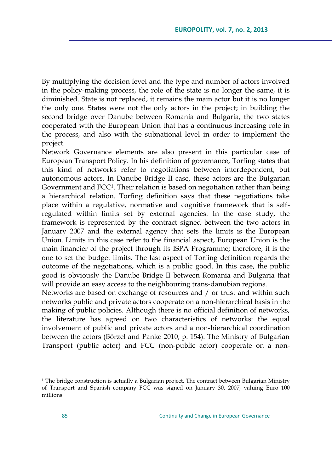By multiplying the decision level and the type and number of actors involved in the policy-making process, the role of the state is no longer the same, it is diminished. State is not replaced, it remains the main actor but it is no longer the only one. States were not the only actors in the project; in building the second bridge over Danube between Romania and Bulgaria, the two states cooperated with the European Union that has a continuous increasing role in the process, and also with the subnational level in order to implement the project.

Network Governance elements are also present in this particular case of European Transport Policy. In his definition of governance, Torfing states that this kind of networks refer to negotiations between interdependent, but autonomous actors. In Danube Bridge II case, these actors are the Bulgarian Government and FCC<sup>1</sup>. Their relation is based on negotiation rather than being a hierarchical relation. Torfing definition says that these negotiations take place within a regulative, normative and cognitive framework that is selfregulated within limits set by external agencies. In the case study, the framework is represented by the contract signed between the two actors in January 2007 and the external agency that sets the limits is the European Union. Limits in this case refer to the financial aspect, European Union is the main financier of the project through its ISPA Programme; therefore, it is the one to set the budget limits. The last aspect of Torfing definition regards the outcome of the negotiations, which is a public good. In this case, the public good is obviously the Danube Bridge II between Romania and Bulgaria that will provide an easy access to the neighbouring trans-danubian regions.

Networks are based on exchange of resources and / or trust and within such networks public and private actors cooperate on a non-hierarchical basis in the making of public policies. Although there is no official definition of networks, the literature has agreed on two characteristics of networks: the equal involvement of public and private actors and a non-hierarchical coordination between the actors (Börzel and Panke 2010, p. 154). The Ministry of Bulgarian Transport (public actor) and FCC (non-public actor) cooperate on a non-

<sup>&</sup>lt;sup>1</sup> The bridge construction is actually a Bulgarian project. The contract between Bulgarian Ministry of Transport and Spanish company FCC was signed on January 30, 2007, valuing Euro 100 millions.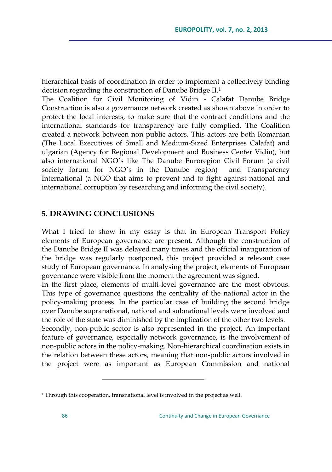hierarchical basis of coordination in order to implement a collectively binding decision regarding the construction of Danube Bridge II.<sup>1</sup>

The Coalition for Civil Monitoring of Vidin - Calafat Danube Bridge Construction is also a governance network created as shown above in order to protect the local interests, to make sure that the contract conditions and the international standards for transparency are fully complied**.** The Coalition created a network between non-public actors. This actors are both Romanian (The Local Executives of Small and Medium-Sized Enterprises Calafat) and ulgarian (Agency for Regional Development and Business Center Vidin), but also international NGO´s like The Danube Euroregion Civil Forum (a civil society forum for NGO´s in the Danube region) and Transparency International (a NGO that aims to prevent and to fight against national and international corruption by researching and informing the civil society).

## **5. DRAWING CONCLUSIONS**

 $\overline{a}$ 

What I tried to show in my essay is that in European Transport Policy elements of European governance are present. Although the construction of the Danube Bridge II was delayed many times and the official inauguration of the bridge was regularly postponed, this project provided a relevant case study of European governance. In analysing the project, elements of European governance were visible from the moment the agreement was signed.

In the first place, elements of multi-level governance are the most obvious. This type of governance questions the centrality of the national actor in the policy-making process. In the particular case of building the second bridge over Danube supranational, national and subnational levels were involved and the role of the state was diminished by the implication of the other two levels.

Secondly, non-public sector is also represented in the project. An important feature of governance, especially network governance, is the involvement of non-public actors in the policy-making. Non-hierarchical coordination exists in the relation between these actors, meaning that non-public actors involved in the project were as important as European Commission and national

<sup>&</sup>lt;sup>1</sup> Through this cooperation, transnational level is involved in the project as well.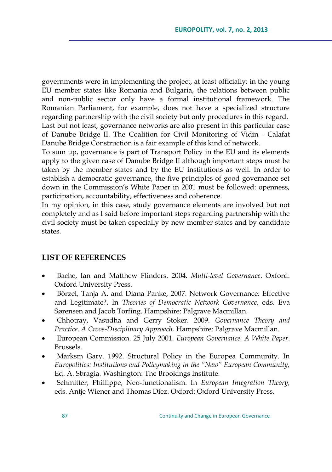governments were in implementing the project, at least officially; in the young EU member states like Romania and Bulgaria, the relations between public and non-public sector only have a formal institutional framework. The Romanian Parliament, for example, does not have a specialized structure regarding partnership with the civil society but only procedures in this regard. Last but not least, governance networks are also present in this particular case of Danube Bridge II. The Coalition for Civil Monitoring of Vidin - Calafat Danube Bridge Construction is a fair example of this kind of network.

To sum up, governance is part of Transport Policy in the EU and its elements apply to the given case of Danube Bridge II although important steps must be taken by the member states and by the EU institutions as well. In order to establish a democratic governance, the five principles of good governance set down in the Commission's White Paper in 2001 must be followed: openness, participation, accountability, effectiveness and coherence.

In my opinion, in this case, study governance elements are involved but not completely and as I said before important steps regarding partnership with the civil society must be taken especially by new member states and by candidate states.

## **LIST OF REFERENCES**

- Bache, Ian and Matthew Flinders. 2004. *Multi-level Governance*. Oxford: Oxford University Press.
- Börzel, Tanja A. and Diana Panke, 2007. Network Governance: Effective and Legitimate?. In *Theories of Democratic Network Governance*, eds. Eva Sørensen and Jacob Torfing. Hampshire: Palgrave Macmillan.
- Chhotray, Vasudha and Gerry Stoker. 2009. *Governance Theory and Practice. A Croos-Disciplinary Approach.* Hampshire: Palgrave Macmillan.
- European Commission. 25 July 2001. *European Governance. A White Paper*. Brussels.
- Marksm Gary. 1992. Structural Policy in the Europea Community. In *Europolitics: Institutions and Policymaking in the "New" European Community,*  Ed. A. Sbragia*.* Washington: The Brookings Institute.
- Schmitter, Phillippe, Neo-functionalism. In *European Integration Theory,*  eds. Antje Wiener and Thomas Diez. Oxford: Oxford University Press.